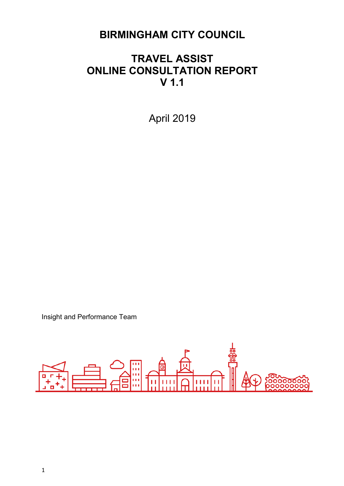### **BIRMINGHAM CITY COUNCIL**

### **TRAVEL ASSIST ONLINE CONSULTATION REPORT V 1.1**

April 2019

Insight and Performance Team

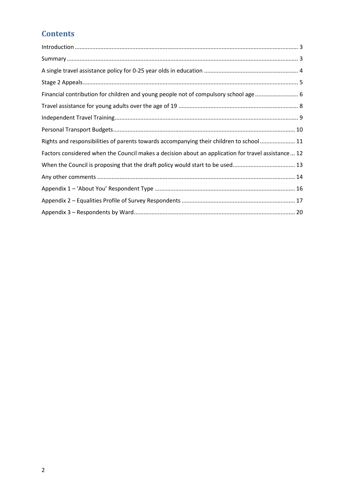### **Contents**

| Financial contribution for children and young people not of compulsory school age 6                 |
|-----------------------------------------------------------------------------------------------------|
|                                                                                                     |
|                                                                                                     |
|                                                                                                     |
| Rights and responsibilities of parents towards accompanying their children to school 11             |
| Factors considered when the Council makes a decision about an application for travel assistance  12 |
| When the Council is proposing that the draft policy would start to be used 13                       |
|                                                                                                     |
|                                                                                                     |
|                                                                                                     |
|                                                                                                     |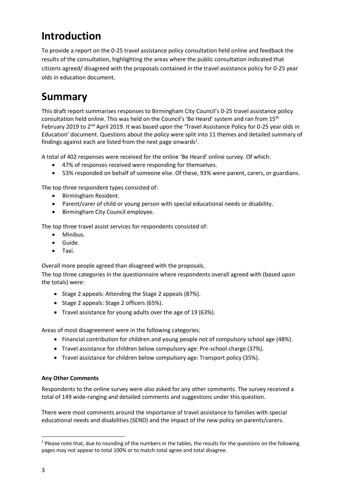# <span id="page-2-0"></span>**Introduction**

To provide a report on the 0-25 travel assistance policy consultation held online and feedback the results of the consultation, highlighting the areas where the public consultation indicated that citizens agreed/ disagreed with the proposals contained in the travel assistance policy for 0-25 year olds in education document.

## <span id="page-2-1"></span>**Summary**

This draft report summarises responses to Birmingham City Council's 0-25 travel assistance policy consultation held online. This was held on the Council's 'Be Heard' system and ran from 15th February 2019 to 2nd April 2019. It was based upon the 'Travel Assistance Policy for 0-25 year olds in Education' document. Questions about the policy were split into 11 themes and detailed summary of findings against each are listed from the next page onwards $1$ .

A total of 402 responses were received for the online 'Be Heard' online survey. Of which:

- 47% of responses received were responding for themselves.
- 53% responded on behalf of someone else. Of these, 93% were parent, carers, or guardians.

The top three respondent types consisted of:

- Birmingham Resident.
- Parent/carer of child or young person with special educational needs or disability.
- Birmingham City Council employee.

The top three travel assist services for respondents consisted of:

- Minibus.
- Guide.
- Taxi.

Overall more people agreed than disagreed with the proposals.

The top three categories in the questionnaire where respondents overall agreed with (based upon the totals) were:

- Stage 2 appeals: Attending the Stage 2 appeals (87%).
- Stage 2 appeals: Stage 2 officers (65%).
- Travel assistance for young adults over the age of 19 (63%).

Areas of most disagreement were in the following categories:

- Financial contribution for children and young people not of compulsory school age (48%).
- Travel assistance for children below compulsory age: Pre-school charge (37%).
- Travel assistance for children below compulsory age: Transport policy (35%).

#### **Any Other Comments**

Respondents to the online survey were also asked for any other comments. The survey received a total of 149 wide-ranging and detailed comments and suggestions under this question.

There were most comments around the importance of travel assistance to families with special educational needs and disabilities (SEND) and the impact of the new policy on parents/carers.

<u>.</u>

 $1$  Please note that, due to rounding of the numbers in the tables, the results for the questions on the following pages may not appear to total 100% or to match total agree and total disagree.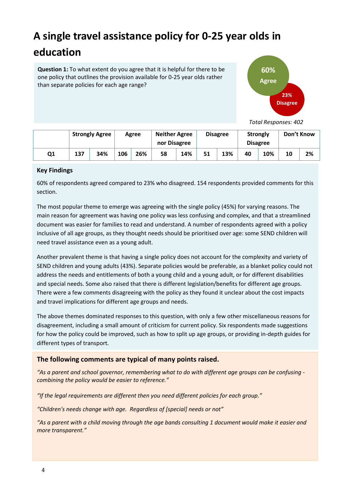# <span id="page-3-0"></span>**A single travel assistance policy for 0-25 year olds in education**

**Question 1:** To what extent do you agree that it is helpful for there to be one policy that outlines the provision available for 0-25 year olds rather than separate policies for each age range?



 *Total Responses: 402*

|    |     | <b>Strongly Agree</b> |     | Agree | <b>Neither Agree</b><br>nor Disagree |     |    | <b>Disagree</b> | <b>Strongly</b> | <b>Disagree</b> |    | Don't Know |
|----|-----|-----------------------|-----|-------|--------------------------------------|-----|----|-----------------|-----------------|-----------------|----|------------|
| Q1 | 137 | 34%                   | 106 | 26%   | 58                                   | 14% | 51 | 13%             | 40              | 10%             | 10 | 2%         |

#### **Key Findings**

60% of respondents agreed compared to 23% who disagreed. 154 respondents provided comments for this section.

The most popular theme to emerge was agreeing with the single policy (45%) for varying reasons. The main reason for agreement was having one policy was less confusing and complex, and that a streamlined document was easier for families to read and understand. A number of respondents agreed with a policy inclusive of all age groups, as they thought needs should be prioritised over age: some SEND children will need travel assistance even as a young adult.

Another prevalent theme is that having a single policy does not account for the complexity and variety of SEND children and young adults (43%). Separate policies would be preferable, as a blanket policy could not address the needs and entitlements of both a young child and a young adult, or for different disabilities and special needs. Some also raised that there is different legislation/benefits for different age groups. There were a few comments disagreeing with the policy as they found it unclear about the cost impacts and travel implications for different age groups and needs.

The above themes dominated responses to this question, with only a few other miscellaneous reasons for disagreement, including a small amount of criticism for current policy. Six respondents made suggestions for how the policy could be improved, such as how to split up age groups, or providing in-depth guides for different types of transport.

#### **The following comments are typical of many points raised.**

*"As a parent and school governor, remembering what to do with different age groups can be confusing combining the policy would be easier to reference."*

*"If the legal requirements are different then you need different policies for each group."*

*"Children's needs change with age. Regardless of [special] needs or not"*

*"As a parent with a child moving through the age bands consulting 1 document would make it easier and more transparent."*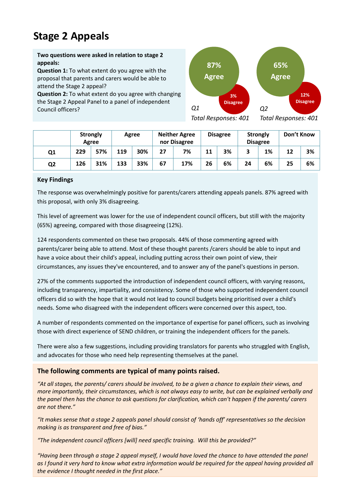## <span id="page-4-0"></span>**Stage 2 Appeals**

**Two questions were asked in relation to stage 2 appeals:**

**Question 1:** To what extent do you agree with the proposal that parents and carers would be able to attend the Stage 2 appeal?

**Question 2:** To what extent do you agree with changing the Stage 2 Appeal Panel to a panel of independent Council officers?



*Total Responses: 401*

*Total Responses: 401*

|                |     | <b>Strongly</b><br>Agree |     | Agree |    | <b>Neither Agree</b><br>nor Disagree |    | <b>Disagree</b> | <b>Strongly</b> | <b>Disagree</b> | Don't Know |    |
|----------------|-----|--------------------------|-----|-------|----|--------------------------------------|----|-----------------|-----------------|-----------------|------------|----|
| Q <sub>1</sub> | 229 | 57%                      | 119 | 30%   |    | 7%                                   | 11 | 3%              |                 | 1%              | 12         | 3% |
| Q <sub>2</sub> | 126 | 31%                      | 133 | 33%   | 67 | 17%                                  | 26 | 6%              | 24              | 6%              | 25         | 6% |

#### **Key Findings**

The response was overwhelmingly positive for parents/carers attending appeals panels. 87% agreed with this proposal, with only 3% disagreeing.

This level of agreement was lower for the use of independent council officers, but still with the majority (65%) agreeing, compared with those disagreeing (12%).

 circumstances, any issues they've encountered, and to answer any of the panel's questions in person. 124 respondents commented on these two proposals. 44% of those commenting agreed with parents/carer being able to attend. Most of these thought parents /carers should be able to input and have a voice about their child's appeal, including putting across their own point of view, their

27% of the comments supported the introduction of independent council officers, with varying reasons, including transparency, impartiality, and consistency. Some of those who supported independent council officers did so with the hope that it would not lead to council budgets being prioritised over a child's needs. Some who disagreed with the independent officers were concerned over this aspect, too.

A number of respondents commented on the importance of expertise for panel officers, such as involving those with direct experience of SEND children, or training the independent officers for the panels.

There were also a few suggestions, including providing translators for parents who struggled with English, and advocates for those who need help representing themselves at the panel.

#### **The following comments are typical of many points raised.**

*"At all stages, the parents/ carers should be involved, to be a given a chance to explain their views, and more importantly, their circumstances, which is not always easy to write, but can be explained verbally and the panel then has the chance to ask questions for clarification, which can't happen if the parents/ carers are not there."*

*"It makes sense that a stage 2 appeals panel should consist of 'hands off' representatives so the decision making is as transparent and free of bias."*

*"The independent council officers [will] need specific training. Will this be provided?"*

5 *the evidence I thought needed in the first place." "Having been through a stage 2 appeal myself, I would have loved the chance to have attended the panel as I found it very hard to know what extra information would be required for the appeal having provided all*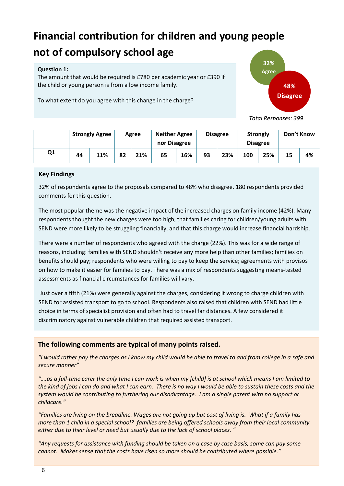# <span id="page-5-0"></span>**Financial contribution for children and young people not of compulsory school age**

#### **Question 1:**

The amount that would be required is £780 per academic year or £390 if the child or young person is from a low income family.

To what extent do you agree with this change in the charge?



 *Total Responses: 399*

|    |    | <b>Strongly Agree</b> |  | Agree | <b>Neither Agree</b><br>nor Disagree |     |    | <b>Disagree</b> | <b>Strongly</b> | <b>Disagree</b> | Don't Know |    |
|----|----|-----------------------|--|-------|--------------------------------------|-----|----|-----------------|-----------------|-----------------|------------|----|
| Q1 | 44 | 11%                   |  | 21%   | 65                                   | 16% | 93 | 23%             | 100             | 25%             | 15         | 4% |

#### **Key Findings**

32% of respondents agree to the proposals compared to 48% who disagree. 180 respondents provided comments for this question.

The most popular theme was the negative impact of the increased charges on family income (42%). Many respondents thought the new charges were too high, that families caring for children/young adults with SEND were more likely to be struggling financially, and that this charge would increase financial hardship.

There were a number of respondents who agreed with the charge (22%). This was for a wide range of reasons, including: families with SEND shouldn't receive any more help than other families; families on benefits should pay; respondents who were willing to pay to keep the service; agreements with provisos on how to make it easier for families to pay. There was a mix of respondents suggesting means-tested assessments as financial circumstances for families will vary.

 Just over a fifth (21%) were generally against the charges, considering it wrong to charge children with SEND for assisted transport to go to school. Respondents also raised that children with SEND had little choice in terms of specialist provision and often had to travel far distances. A few considered it discriminatory against vulnerable children that required assisted transport.

#### **The following comments are typical of many points raised.**

*"I would rather pay the charges as I know my child would be able to travel to and from college in a safe and secure manner"*

*"….as a full-time carer the only time I can work is when my [child] is at school which means I am limited to the kind of jobs I can do and what I can earn. There is no way I would be able to sustain these costs and the system would be contributing to furthering our disadvantage. I am a single parent with no support or childcare."*

*"Families are living on the breadline. Wages are not going up but cost of living is. What if a family has more than 1 child in a special school? families are being offered schools away from their local community either due to their level or need but usually due to the lack of school places. "*

*"Any requests for assistance with funding should be taken on a case by case basis, some can pay some cannot. Makes sense that the costs have risen so more should be contributed where possible."*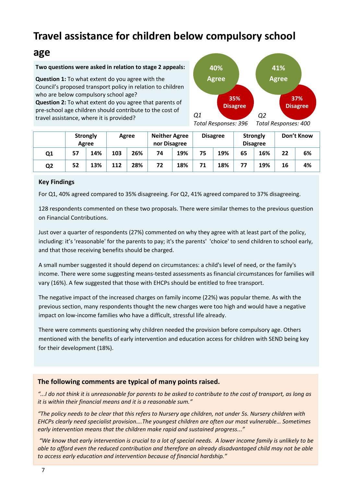# **Travel assistance for children below compulsory school**

### **age**

#### **Two questions were asked in relation to stage 2 appeals:**

**Question 1:** To what extent do you agree with the Council's proposed transport policy in relation to children who are below compulsory school age?

**Question 2:** To what extent do you agree that parents of pre-school age children should contribute to the cost of travel assistance, where it is provided?



*Total Responses: 396 Total Responses: 400*

|    |    | <b>Strongly</b><br>Agree |     | Agree | <b>Neither Agree</b><br>nor Disagree |     |    | <b>Disagree</b> |    | <b>Strongly</b><br><b>Disagree</b> |    | Don't Know |
|----|----|--------------------------|-----|-------|--------------------------------------|-----|----|-----------------|----|------------------------------------|----|------------|
| Q1 | 57 | 14%                      | 103 | 26%   |                                      | 19% | 75 | 19%             | 65 | 16%                                | 22 | 6%         |
| Q2 | 52 | 13%                      | 112 | 28%   | 72                                   | 18% | 71 | 18%             | 77 | 19%                                | 16 | 4%         |

#### **Key Findings**

For Q1, 40% agreed compared to 35% disagreeing. For Q2, 41% agreed compared to 37% disagreeing.

128 respondents commented on these two proposals. There were similar themes to the previous question on Financial Contributions.

Just over a quarter of respondents (27%) commented on why they agree with at least part of the policy, including: it's 'reasonable' for the parents to pay; it's the parents' 'choice' to send children to school early, and that those receiving benefits should be charged.

 A small number suggested it should depend on circumstances: a child's level of need, or the family's income. There were some suggesting means-tested assessments as financial circumstances for families will vary (16%). A few suggested that those with EHCPs should be entitled to free transport.

The negative impact of the increased charges on family income (22%) was popular theme. As with the previous section, many respondents thought the new charges were too high and would have a negative impact on low-income families who have a difficult, stressful life already.

There were comments questioning why children needed the provision before compulsory age. Others mentioned with the benefits of early intervention and education access for children with SEND being key for their development (18%).

#### **The following comments are typical of many points raised.**

*"...I do not think it is unreasonable for parents to be asked to contribute to the cost of transport, as long as it is within their financial means and it is a reasonable sum."*

*"The policy needs to be clear that this refers to Nursery age children, not under 5s. Nursery children with EHCPs clearly need specialist provision….The youngest children are often our most vulnerable… Sometimes early intervention means that the children make rapid and sustained progress..."*

*"We know that early intervention is crucial to a lot of special needs. A lower income family is unlikely to be able to afford even the reduced contribution and therefore an already disadvantaged child may not be able to access early education and intervention because of financial hardship."*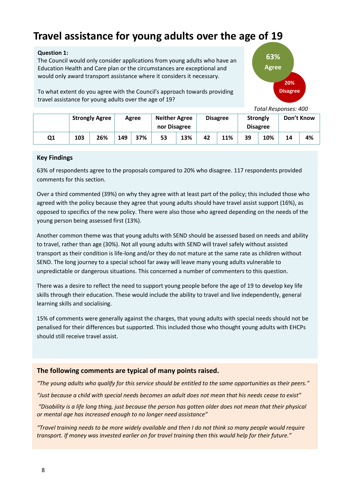# <span id="page-7-0"></span>**Travel assistance for young adults over the age of 19**

#### **Question 1:**

The Council would only consider applications from young adults who have an Education Health and Care plan or the circumstances are exceptional and would only award transport assistance where it considers it necessary.

To what extent do you agree with the Council's approach towards providing travel assistance for young adults over the age of 19?



 *Total Responses: 400*

|    | <b>Strongly Agree</b> |            |  | Agree | <b>Neither Agree</b><br>nor Disagree |     |    | <b>Disagree</b> | <b>Strongly</b> | <b>Disagree</b> | Don't Know |    |
|----|-----------------------|------------|--|-------|--------------------------------------|-----|----|-----------------|-----------------|-----------------|------------|----|
| Q1 | 103                   | 26%<br>149 |  | 37%   | 53                                   | 13% | 42 | 11%             | 39              | 10%             | 14         | 4% |

#### **Key Findings**

63% of respondents agree to the proposals compared to 20% who disagree. 117 respondents provided comments for this section.

Over a third commented (39%) on why they agree with at least part of the policy; this included those who agreed with the policy because they agree that young adults should have travel assist support (16%), as opposed to specifics of the new policy. There were also those who agreed depending on the needs of the young person being assessed first (13%).

Another common theme was that young adults with SEND should be assessed based on needs and ability to travel, rather than age (30%). Not all young adults with SEND will travel safely without assisted transport as their condition is life-long and/or they do not mature at the same rate as children without SEND. The long journey to a special school far away will leave many young adults vulnerable to unpredictable or dangerous situations. This concerned a number of commenters to this question.

There was a desire to reflect the need to support young people before the age of 19 to develop key life skills through their education. These would include the ability to travel and live independently, general learning skills and socialising.

15% of comments were generally against the charges, that young adults with special needs should not be penalised for their differences but supported. This included those who thought young adults with EHCPs should still receive travel assist.

#### **The following comments are typical of many points raised.**

*"The young adults who qualify for this service should be entitled to the same opportunities as their peers." "Just because a child with special needs becomes an adult does not mean that his needs cease to exist"*

*"Disability is a life long thing, just because the person has gotten older does not mean that their physical or mental age has increased enough to no longer need assistance"*

*"Travel training needs to be more widely available and then I do not think so many people would require transport. If money was invested earlier on for travel training then this would help for their future."*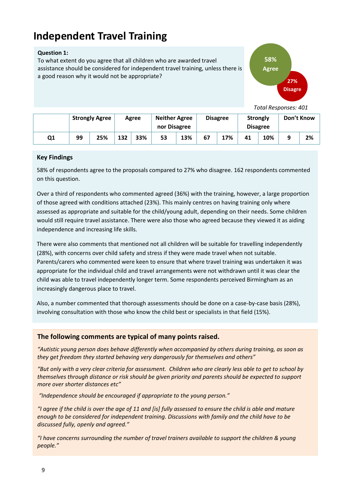## <span id="page-8-0"></span>**Independent Travel Training**

#### **Question 1:**

To what extent do you agree that all children who are awarded travel assistance should be considered for independent travel training, unless there is a good reason why it would not be appropriate?



 *Total Responses: 401*

|    | <b>Strongly Agree</b> |     | Agree |     | <b>Neither Agree</b><br>nor Disagree |     |    | <b>Disagree</b> | <b>Strongly</b> | <b>Disagree</b> | Don't Know |    |
|----|-----------------------|-----|-------|-----|--------------------------------------|-----|----|-----------------|-----------------|-----------------|------------|----|
| Q1 | 99                    | 25% | 132   | 33% | 53                                   | 13% | 67 | 17%             | 41              | 10%             | q          | 2% |

#### **Key Findings**

58% of respondents agree to the proposals compared to 27% who disagree. 162 respondents commented on this question.

Over a third of respondents who commented agreed (36%) with the training, however, a large proportion of those agreed with conditions attached (23%). This mainly centres on having training only where assessed as appropriate and suitable for the child/young adult, depending on their needs. Some children would still require travel assistance. There were also those who agreed because they viewed it as aiding independence and increasing life skills.

There were also comments that mentioned not all children will be suitable for travelling independently (28%), with concerns over child safety and stress if they were made travel when not suitable. Parents/carers who commented were keen to ensure that where travel training was undertaken it was appropriate for the individual child and travel arrangements were not withdrawn until it was clear the child was able to travel independently longer term. Some respondents perceived Birmingham as an increasingly dangerous place to travel.

Also, a number commented that thorough assessments should be done on a case-by-case basis (28%), involving consultation with those who know the child best or specialists in that field (15%).

#### **The following comments are typical of many points raised.**

*"Autistic young person does behave differently when accompanied by others during training, as soon as they get freedom they started behaving very dangerously for themselves and others"*

*"But only with a very clear criteria for assessment. Children who are clearly less able to get to school by themselves through distance or risk should be given priority and parents should be expected to support more over shorter distances etc"*

*"Independence should be encouraged if appropriate to the young person."*

*"I agree if the child is over the age of 11 and [is] fully assessed to ensure the child is able and mature enough to be considered for independent training. Discussions with family and the child have to be discussed fully, openly and agreed."*

*"I have concerns surrounding the number of travel trainers available to support the children & young people."*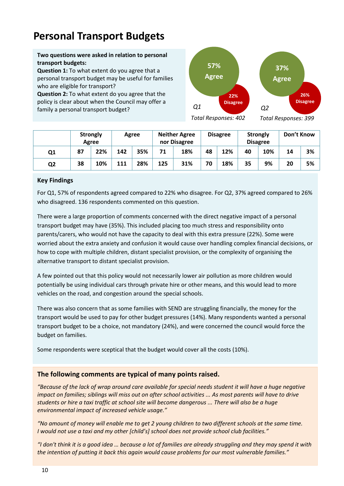## <span id="page-9-0"></span>**Personal Transport Budgets**

**Two questions were asked in relation to personal transport budgets:**

**Question 1:** To what extent do you agree that a personal transport budget may be useful for families who are eligible for transport?

**Question 2:** To what extent do you agree that the policy is clear about when the Council may offer a family a personal transport budget?



*Total Responses: 402* 

*Total Responses: 399*

|                |    | <b>Strongly</b><br>Agree | Agree |     |     | <b>Neither Agree</b><br>nor Disagree |    | <b>Disagree</b> |    | <b>Strongly</b><br><b>Disagree</b> | Don't Know |    |
|----------------|----|--------------------------|-------|-----|-----|--------------------------------------|----|-----------------|----|------------------------------------|------------|----|
| Q <sub>1</sub> | 87 | 22%                      | 142   | 35% |     | 18%                                  | 48 | 12%             | 40 | 10%                                | 14         | 3% |
| Q <sub>2</sub> | 38 | 10%                      | 111   | 28% | 125 | 31%                                  | 70 | 18%             | 35 | 9%                                 | 20         | 5% |

#### **Key Findings**

For Q1, 57% of respondents agreed compared to 22% who disagree. For Q2, 37% agreed compared to 26% who disagreed. 136 respondents commented on this question.

 alternative transport to distant specialist provision. There were a large proportion of comments concerned with the direct negative impact of a personal transport budget may have (35%). This included placing too much stress and responsibility onto parents/carers, who would not have the capacity to deal with this extra pressure (22%). Some were worried about the extra anxiety and confusion it would cause over handling complex financial decisions, or how to cope with multiple children, distant specialist provision, or the complexity of organising the

A few pointed out that this policy would not necessarily lower air pollution as more children would potentially be using individual cars through private hire or other means, and this would lead to more vehicles on the road, and congestion around the special schools.

There was also concern that as some families with SEND are struggling financially, the money for the transport would be used to pay for other budget pressures (14%). Many respondents wanted a personal transport budget to be a choice, not mandatory (24%), and were concerned the council would force the budget on families.

Some respondents were sceptical that the budget would cover all the costs (10%).

#### **The following comments are typical of many points raised.**

*"Because of the lack of wrap around care available for special needs student it will have a huge negative impact on families; siblings will miss out on after school activities ... As most parents will have to drive students or hire a taxi traffic at school site will become dangerous ... There will also be a huge environmental impact of increased vehicle usage."*

*"No amount of money will enable me to get 2 young children to two different schools at the same time. I would not use a taxi and my other [child's] school does not provide school club facilities."*

*"I don't think it is a good idea … because a lot of families are already struggling and they may spend it with the intention of putting it back this again would cause problems for our most vulnerable families."*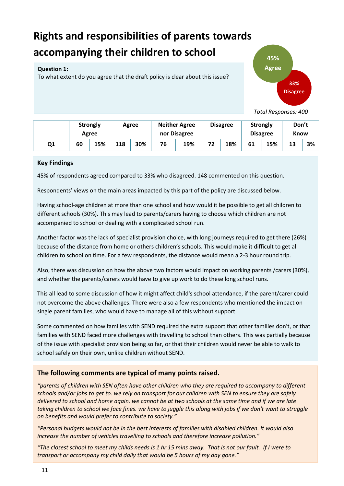# <span id="page-10-0"></span>**Rights and responsibilities of parents towards accompanying their children to school**

#### **Question 1:**

To what extent do you agree that the draft policy is clear about this issue?



 *Total Responses: 400*

|    | <b>Strongly</b><br>Agree |  | Agree |     |    | <b>Neither Agree</b><br>nor Disagree |    | <b>Disagree</b> | <b>Strongly</b> | <b>Disagree</b> | Don't<br><b>Know</b> |    |
|----|--------------------------|--|-------|-----|----|--------------------------------------|----|-----------------|-----------------|-----------------|----------------------|----|
| Q1 | 15%<br>60                |  | 118   | 30% | 76 | 19%                                  | 72 | 18%             | 61              | 15%             | 13                   | 3% |

#### **Key Findings**

45% of respondents agreed compared to 33% who disagreed. 148 commented on this question.

Respondents' views on the main areas impacted by this part of the policy are discussed below.

Having school-age children at more than one school and how would it be possible to get all children to different schools (30%). This may lead to parents/carers having to choose which children are not accompanied to school or dealing with a complicated school run.

Another factor was the lack of specialist provision choice, with long journeys required to get there (26%) because of the distance from home or others children's schools. This would make it difficult to get all children to school on time. For a few respondents, the distance would mean a 2-3 hour round trip.

Also, there was discussion on how the above two factors would impact on working parents /carers (30%), and whether the parents/carers would have to give up work to do these long school runs.

This all lead to some discussion of how it might affect child's school attendance, if the parent/carer could not overcome the above challenges. There were also a few respondents who mentioned the impact on single parent families, who would have to manage all of this without support.

Some commented on how families with SEND required the extra support that other families don't, or that families with SEND faced more challenges with travelling to school than others. This was partially because of the issue with specialist provision being so far, or that their children would never be able to walk to school safely on their own, unlike children without SEND.

#### **The following comments are typical of many points raised.**

*"parents of children with SEN often have other children who they are required to accompany to different schools and/or jobs to get to. we rely on transport for our children with SEN to ensure they are safely delivered to school and home again. we cannot be at two schools at the same time and if we are late taking children to school we face fines. we have to juggle this along with jobs if we don't want to struggle on benefits and would prefer to contribute to society."*

*"Personal budgets would not be in the best interests of families with disabled children. It would also increase the number of vehicles travelling to schools and therefore increase pollution."*

*"The closest school to meet my childs needs is 1 hr 15 mins away. That is not our fault. If I were to transport or accompany my child daily that would be 5 hours of my day gone."*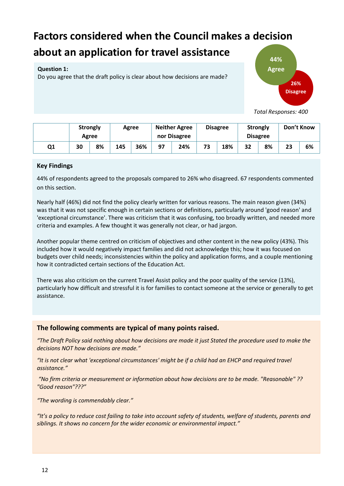# <span id="page-11-0"></span>**Factors considered when the Council makes a decision about an application for travel assistance**

#### **Question 1:**

Do you agree that the draft policy is clear about how decisions are made?



 *Total Responses: 400*

|    | <b>Strongly</b><br>Agree |    | Agree |     | <b>Neither Agree</b><br>nor Disagree |     | <b>Disagree</b> | <b>Strongly</b> | <b>Disagree</b> |    | Don't Know |    |
|----|--------------------------|----|-------|-----|--------------------------------------|-----|-----------------|-----------------|-----------------|----|------------|----|
| Q1 | 30                       | 8% | 145   | 36% |                                      | 24% | 73              | 18%             | 32              | 8% | 23         | 6% |

#### **Key Findings**

44% of respondents agreed to the proposals compared to 26% who disagreed. 67 respondents commented on this section.

Nearly half (46%) did not find the policy clearly written for various reasons. The main reason given (34%) was that it was not specific enough in certain sections or definitions, particularly around 'good reason' and 'exceptional circumstance'. There was criticism that it was confusing, too broadly written, and needed more criteria and examples. A few thought it was generally not clear, or had jargon.

Another popular theme centred on criticism of objectives and other content in the new policy (43%). This included how it would negatively impact families and did not acknowledge this; how it was focused on budgets over child needs; inconsistencies within the policy and application forms, and a couple mentioning how it contradicted certain sections of the Education Act.

There was also criticism on the current Travel Assist policy and the poor quality of the service (13%), particularly how difficult and stressful it is for families to contact someone at the service or generally to get assistance.

#### **The following comments are typical of many points raised.**

*"The Draft Policy said nothing about how decisions are made it just Stated the procedure used to make the decisions NOT how decisions are made."*

*"It is not clear what 'exceptional circumstances' might be if a child had an EHCP and required travel assistance."*

*"No firm criteria or measurement or information about how decisions are to be made. "Reasonable" ?? "Good reason"???"*

*"The wording is commendably clear."*

*"It's a policy to reduce cost failing to take into account safety of students, welfare of students, parents and siblings. It shows no concern for the wider economic or environmental impact."*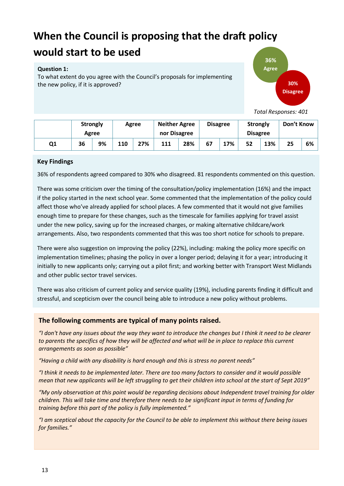# <span id="page-12-0"></span>**When the Council is proposing that the draft policy**

### **would start to be used**

#### **Question 1:**

To what extent do you agree with the Council's proposals for implementing the new policy, if it is approved?



 *Total Responses: 401*

|    | <b>Strongly</b><br>Agree |                  |  | Agree | <b>Neither Agree</b><br>nor Disagree |     | <b>Disagree</b> |     | <b>Strongly</b><br><b>Disagree</b> |     | Don't Know |    |
|----|--------------------------|------------------|--|-------|--------------------------------------|-----|-----------------|-----|------------------------------------|-----|------------|----|
| Q1 | 36                       | 27%<br>9%<br>110 |  |       | 111                                  | 28% | 67              | 17% | 52                                 | 13% | 25         | 6% |

#### **Key Findings**

36% of respondents agreed compared to 30% who disagreed. 81 respondents commented on this question.

There was some criticism over the timing of the consultation/policy implementation (16%) and the impact if the policy started in the next school year. Some commented that the implementation of the policy could affect those who've already applied for school places. A few commented that it would not give families enough time to prepare for these changes, such as the timescale for families applying for travel assist under the new policy, saving up for the increased charges, or making alternative childcare/work arrangements. Also, two respondents commented that this was too short notice for schools to prepare.

There were also suggestion on improving the policy (22%), including: making the policy more specific on implementation timelines; phasing the policy in over a longer period; delaying it for a year; introducing it initially to new applicants only; carrying out a pilot first; and working better with Transport West Midlands and other public sector travel services.

There was also criticism of current policy and service quality (19%), including parents finding it difficult and stressful, and scepticism over the council being able to introduce a new policy without problems.

#### **The following comments are typical of many points raised.**

*"I don't have any issues about the way they want to introduce the changes but I think it need to be clearer to parents the specifics of how they will be affected and what will be in place to replace this current arrangements as soon as possible"*

*"Having a child with any disability is hard enough and this is stress no parent needs"*

*"I think it needs to be implemented later. There are too many factors to consider and it would possible mean that new applicants will be left struggling to get their children into school at the start of Sept 2019"*

*"My only observation at this point would be regarding decisions about Independent travel training for older children. This will take time and therefore there needs to be significant input in terms of funding for training before this part of the policy is fully implemented."*

*"I am sceptical about the capacity for the Council to be able to implement this without there being issues for families."*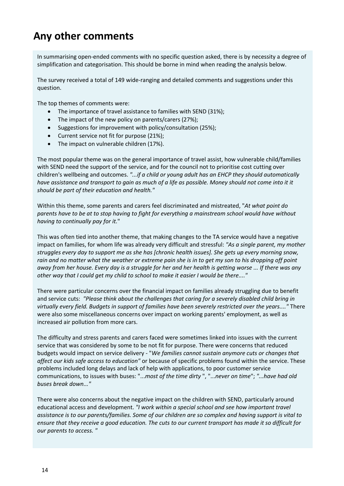## <span id="page-13-0"></span>**Any other comments**

In summarising open-ended comments with no specific question asked, there is by necessity a degree of simplification and categorisation. This should be borne in mind when reading the analysis below.

The survey received a total of 149 wide-ranging and detailed comments and suggestions under this question.

The top themes of comments were:

- The importance of travel assistance to families with SEND (31%);
- The impact of the new policy on parents/carers (27%);
- Suggestions for improvement with policy/consultation (25%);
- Current service not fit for purpose (21%);
- The impact on vulnerable children (17%).

The most popular theme was on the general importance of travel assist, how vulnerable child/families with SEND need the support of the service, and for the council not to prioritise cost cutting over children's wellbeing and outcomes. *"...if a child or young adult has an EHCP they should automatically have assistance and transport to gain as much of a life as possible. Money should not come into it it should be part of their education and health."* 

 *having to continually pay for it.*" Within this theme, some parents and carers feel discriminated and mistreated, "*At what point do parents have to be at to stop having to fight for everything a mainstream school would have without* 

This was often tied into another theme, that making changes to the TA service would have a negative impact on families, for whom life was already very difficult and stressful: *"As a single parent, my mother struggles every day to support me as she has [chronic health issues]. She gets up every morning snow, rain and no matter what the weather or extreme pain she is in to get my son to his dropping off point away from her house. Every day is a struggle for her and her health is getting worse ... If there was any other way that I could get my child to school to make it easier I would be there...."* 

There were particular concerns over the financial impact on families already struggling due to benefit and service cuts: *"Please think about the challenges that caring for a severely disabled child bring in virtually every field. Budgets in support of families have been severely restricted over the years...."* There were also some miscellaneous concerns over impact on working parents' employment, as well as increased air pollution from more cars.

The difficulty and stress parents and carers faced were sometimes linked into issues with the current service that was considered by some to be not fit for purpose. There were concerns that reduced budgets would impact on service delivery - "*We families cannot sustain anymore cuts or changes that affect our kids safe access to education"* or because of specific problems found within the service. These problems included long delays and lack of help with applications, to poor customer service communications, to issues with buses: "...*most of the time dirty* ", "...*never on time*"; *"...have had old buses break down..."* 

There were also concerns about the negative impact on the children with SEND, particularly around educational access and development. *"I work within a special school and see how important travel assistance is to our parents/families. Some of our children are so complex and having support is vital to ensure that they receive a good education. The cuts to our current transport has made it so difficult for our parents to access. "*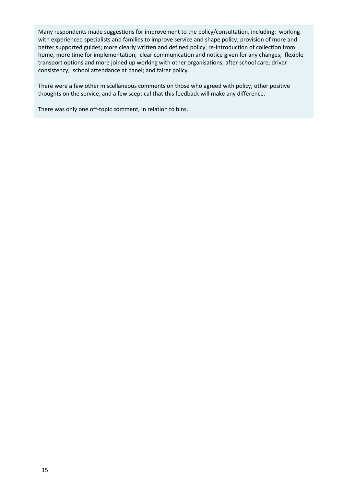Many respondents made suggestions for improvement to the policy/consultation, including: working with experienced specialists and families to improve service and shape policy; provision of more and better supported guides; more clearly written and defined policy; re-introduction of collection from home; more time for implementation; clear communication and notice given for any changes; flexible transport options and more joined up working with other organisations; after school care; driver consistency; school attendance at panel; and fairer policy.

There were a few other miscellaneous comments on those who agreed with policy, other positive thoughts on the service, and a few sceptical that this feedback will make any difference.

There was only one off-topic comment, in relation to bins.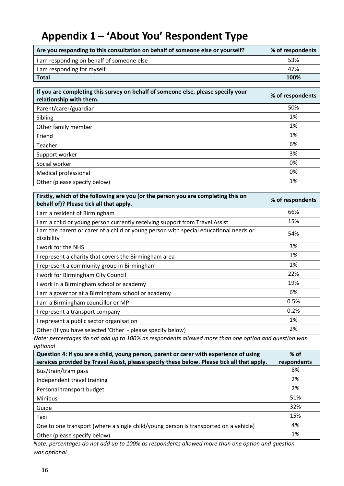# <span id="page-15-0"></span>**Appendix 1 – 'About You' Respondent Type**

| Are you responding to this consultation on behalf of someone else or yourself? | % of respondents |
|--------------------------------------------------------------------------------|------------------|
| I am responding on behalf of someone else                                      | 53%              |
| I am responding for myself                                                     | 47%              |
| <b>Total</b>                                                                   | 100%             |

| If you are completing this survey on behalf of someone else, please specify your<br>relationship with them. | % of respondents |
|-------------------------------------------------------------------------------------------------------------|------------------|
| Parent/carer/guardian                                                                                       | 50%              |
| Sibling                                                                                                     | 1%               |
| Other family member                                                                                         | 1%               |
| Friend                                                                                                      | 1%               |
| Teacher                                                                                                     | 6%               |
| Support worker                                                                                              | 3%               |
| Social worker                                                                                               | 0%               |
| Medical professional                                                                                        | 0%               |
| Other (please specify below)                                                                                | 1%               |

| Firstly, which of the following are you (or the person you are completing this on<br>behalf of)? Please tick all that apply. | % of respondents |
|------------------------------------------------------------------------------------------------------------------------------|------------------|
| I am a resident of Birmingham                                                                                                | 66%              |
| am a child or young person currently receiving support from Travel Assist                                                    | 15%              |
| I am the parent or carer of a child or young person with special educational needs or<br>disability                          | 54%              |
| I work for the NHS                                                                                                           | 3%               |
| I represent a charity that covers the Birmingham area                                                                        | 1%               |
| I represent a community group in Birmingham                                                                                  | 1%               |
| I work for Birmingham City Council                                                                                           | 22%              |
| I work in a Birmingham school or academy                                                                                     | 19%              |
| am a governor at a Birmingham school or academy                                                                              | 6%               |
| am a Birmingham councillor or MP                                                                                             | 0.5%             |
| I represent a transport company                                                                                              | 0.2%             |
| I represent a public sector organisation                                                                                     | 1%               |
| Other (If you have selected 'Other' - please specify below)                                                                  | 2%               |

*Note: percentages do not add up to 100% as respondents allowed more than one option and question was optional* 

| Question 4: If you are a child, young person, parent or carer with experience of using      | $%$ of      |
|---------------------------------------------------------------------------------------------|-------------|
| services provided by Travel Assist, please specify these below. Please tick all that apply. | respondents |
| Bus/train/tram pass                                                                         | 8%          |
| Independent travel training                                                                 | 2%          |
| Personal transport budget                                                                   | 2%          |
| Minibus                                                                                     | 51%         |
| Guide                                                                                       | 32%         |
| Taxi                                                                                        | 15%         |
| One to one transport (where a single child/young person is transported on a vehicle)        | 4%          |
| Other (please specify below)                                                                | 1%          |

*Note: percentages do not add up to 100% as respondents allowed more than one option and question was optional*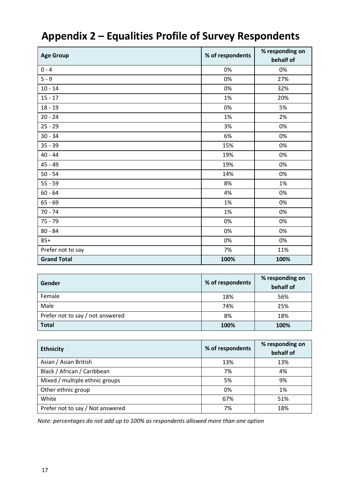# <span id="page-16-0"></span>**Appendix 2 – Equalities Profile of Survey Respondents**

| <b>Age Group</b>   | % of respondents | % responding on<br>behalf of |  |
|--------------------|------------------|------------------------------|--|
| $0 - 4$            | 0%               | 0%                           |  |
| $5 - 9$            | 0%               | 27%                          |  |
| $10 - 14$          | 0%               | 32%                          |  |
| $15 - 17$          | 1%               | 20%                          |  |
| $18 - 19$          | 0%               | 5%                           |  |
| $20 - 24$          | 1%               | 2%                           |  |
| $25 - 29$          | 3%               | 0%                           |  |
| $30 - 34$          | 6%               | 0%                           |  |
| $35 - 39$          | 15%              | 0%                           |  |
| $40 - 44$          | 19%              | 0%                           |  |
| $45 - 49$          | 19%              | 0%                           |  |
| $50 - 54$          | 14%              | 0%                           |  |
| $55 - 59$          | 8%               | 1%                           |  |
| $60 - 64$          | 4%               | 0%                           |  |
| $65 - 69$          | 1%               | 0%                           |  |
| $70 - 74$          | 1%               | 0%                           |  |
| $75 - 79$          | 0%               | 0%                           |  |
| $80 - 84$          | 0%               | 0%                           |  |
| $85+$              | 0%               | 0%                           |  |
| Prefer not to say  | 7%               | 11%                          |  |
| <b>Grand Total</b> | 100%             | 100%                         |  |

| Gender                           | % of respondents | % responding on<br>behalf of |
|----------------------------------|------------------|------------------------------|
| Female                           | 18%              | 56%                          |
| Male                             | 74%              | 25%                          |
| Prefer not to say / not answered | 8%               | 18%                          |
| <b>Total</b>                     | 100%             | 100%                         |

| <b>Ethnicity</b>                 | % of respondents | % responding on<br>behalf of |
|----------------------------------|------------------|------------------------------|
| Asian / Asian British            | 13%              | 13%                          |
| Black / African / Caribbean      | 7%               | 4%                           |
| Mixed / multiple ethnic groups   | 5%               | 9%                           |
| Other ethnic group               | 0%               | 1%                           |
| White                            | 67%              | 51%                          |
| Prefer not to say / Not answered | 7%               | 18%                          |

*Note: percentages do not add up to 100% as respondents allowed more than one option*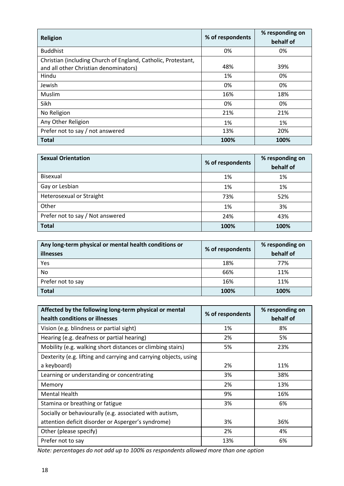| <b>Religion</b>                                                                                        | % of respondents | % responding on<br>behalf of |
|--------------------------------------------------------------------------------------------------------|------------------|------------------------------|
| <b>Buddhist</b>                                                                                        | 0%               | 0%                           |
| Christian (including Church of England, Catholic, Protestant,<br>and all other Christian denominators) | 48%              | 39%                          |
| Hindu                                                                                                  | 1%               | 0%                           |
| Jewish                                                                                                 | 0%               | 0%                           |
| Muslim                                                                                                 | 16%              | 18%                          |
| Sikh                                                                                                   | 0%               | 0%                           |
| No Religion                                                                                            | 21%              | 21%                          |
| Any Other Religion                                                                                     | 1%               | 1%                           |
| Prefer not to say / not answered                                                                       | 13%              | 20%                          |
| <b>Total</b>                                                                                           | 100%             | 100%                         |

| <b>Sexual Orientation</b>        | % of respondents | % responding on<br>behalf of |
|----------------------------------|------------------|------------------------------|
| Bisexual                         | 1%               | 1%                           |
| Gay or Lesbian                   | 1%               | 1%                           |
| Heterosexual or Straight         | 73%              | 52%                          |
| Other                            | 1%               | 3%                           |
| Prefer not to say / Not answered | 24%              | 43%                          |
| <b>Total</b>                     | 100%             | 100%                         |

| Any long-term physical or mental health conditions or<br>illnesses | % of respondents | % responding on<br>behalf of |
|--------------------------------------------------------------------|------------------|------------------------------|
| Yes                                                                | 18%              | 77%                          |
| No.                                                                | 66%              | 11%                          |
| Prefer not to say                                                  | 16%              | 11%                          |
| <b>Total</b>                                                       | 100%             | 100%                         |

| Affected by the following long-term physical or mental<br>health conditions or illnesses | % of respondents | % responding on<br>behalf of |
|------------------------------------------------------------------------------------------|------------------|------------------------------|
| Vision (e.g. blindness or partial sight)                                                 | 1%               | 8%                           |
| Hearing (e.g. deafness or partial hearing)                                               | 2%               | 5%                           |
| Mobility (e.g. walking short distances or climbing stairs)                               | 5%               | 23%                          |
| Dexterity (e.g. lifting and carrying and carrying objects, using                         |                  |                              |
| a keyboard)                                                                              | 2%               | 11%                          |
| Learning or understanding or concentrating                                               | 3%               | 38%                          |
| Memory                                                                                   | 2%               | 13%                          |
| <b>Mental Health</b>                                                                     | 9%               | 16%                          |
| Stamina or breathing or fatigue                                                          | 3%               | 6%                           |
| Socially or behaviourally (e.g. associated with autism,                                  |                  |                              |
| attention deficit disorder or Asperger's syndrome)                                       | 3%               | 36%                          |
| Other (please specify)                                                                   | 2%               | 4%                           |
| Prefer not to say                                                                        | 13%              | 6%                           |

*Note: percentages do not add up to 100% as respondents allowed more than one option*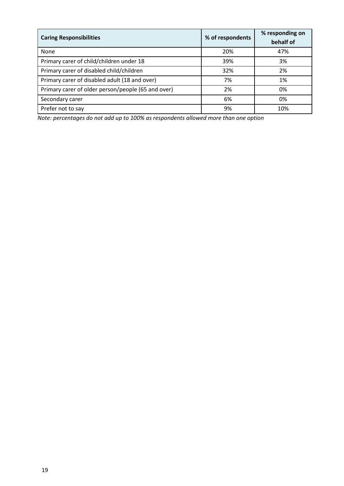| <b>Caring Responsibilities</b>                     | % of respondents | % responding on<br>behalf of |
|----------------------------------------------------|------------------|------------------------------|
| None                                               | 20%              | 47%                          |
| Primary carer of child/children under 18           | 39%              | 3%                           |
| Primary carer of disabled child/children           | 32%              | 2%                           |
| Primary carer of disabled adult (18 and over)      | 7%               | 1%                           |
| Primary carer of older person/people (65 and over) | 2%               | 0%                           |
| Secondary carer                                    | 6%               | 0%                           |
| Prefer not to say                                  | 9%               | 10%                          |

*Note: percentages do not add up to 100% as respondents allowed more than one option*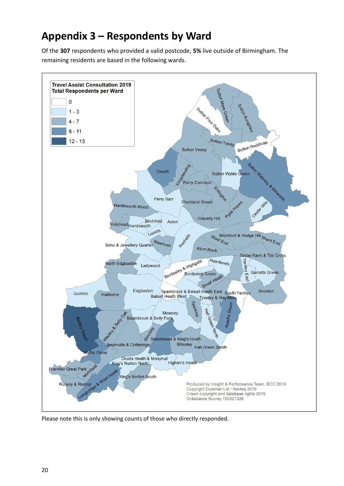# <span id="page-19-0"></span>**Appendix 3 – Respondents by Ward**

Of the **307** respondents who provided a valid postcode, **5%** live outside of Birmingham. The remaining residents are based in the following wards.



Please note this is only showing counts of those who directly responded.